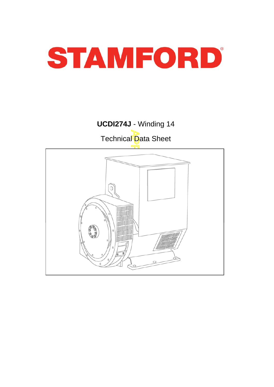

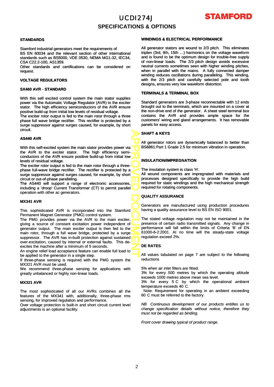

### **SPECIFICATIONS & OPTIONS**

#### **STANDARDS**

Stamford industrial generators meet the requirements of BS EN 60034 and the relevant section of other international standards such as BS5000, VDE 0530, NEMA MG1-32, IEC34, CSA C22.2-100, AS1359.

Other standards and certifications can be considered on request.

#### **VOLTAGE REGULATORS**

#### **SX460 AVR - STANDARD**

With this self excited control system the main stator supplies power via the Automatic Voltage Regulator (AVR) to the exciter stator. The high efficiency semiconductors of the AVR ensure positive build-up from initial low levels of residual voltage.

The exciter rotor output is fed to the main rotor through a three phase full wave bridge rectifier. This rectifier is protected by a surge suppressor against surges caused, for example, by short circuit.

#### **AS440 AVR**

With this self-excited system the main stator provides power via the AVR to the exciter stator. The high efficiency semiconductors of the AVR ensure positive build-up from initial low levels of residual voltage.

The exciter rotor output is fed to the main rotor through a threephase full-wave bridge rectifier. The rectifier is protected by a surge suppressor against surges caused, for example, by short circuit or out-of-phase paralleling.

The AS440 will support a range of electronic accessories, including a 'droop ' Current Transformer (CT) to permit parallel including a 'droop' Current Transformer (CT) to permit operation with other ac generators.

#### **MX341 AVR**

This sophisticated AVR is incorporated into the Stamford Permanent Magnet Generator (PMG) control system.

APPROVED DOCUMENT The PMG provides power via the AVR to the main exciter. giving a source of constant excitation power independent of generator output. The main exciter output is then fed to the main rotor, through a full wave bridge, protected by a surge suppressor. The AVR has in-built protection against sustained over-excitation, caused by internal or external faults. This deexcites the machine after a minimum of 5 seconds.

An engine relief load acceptance feature can enable full load to be applied to the generator in a single step.

If three-phase sensing is required with the PMG system the MX321 AVR must be used.

We recommend three-phase sensing for applications with greatly unbalanced or highly non-linear loads.

#### **MX321 AVR**

The most sophisticated of all our AVRs combines all the features of the MX341 with, additionally, three-phase rms sensing, for improved regulation and performance.

Over voltage protection is built-in and short circuit current level adjustments is an optional facility.

### **WINDINGS & ELECTRICAL PERFORMANCE**

All generator stators are wound to 2/3 pitch. This eliminates triplen (3rd, 9th, 15th …) harmonics on the voltage waveform and is found to be the optimum design for trouble-free supply of non-linear loads. The 2/3 pitch design avoids excessive neutral currents sometimes seen with higher winding pitches, when in parallel with the mains. A fully connected damper winding reduces oscillations during paralleling. This winding, with the 2/3 pitch and carefully selected pole and tooth designs, ensures very low waveform distortion.

#### **TERMINALS & TERMINAL BOX**

Standard generators are 3-phase reconnectable with 12 ends brought out to the terminals, which are mounted on a cover at the non-drive end of the generator. A sheet steel terminal box contains the AVR and provides ample space for the customers' wiring and gland arrangements. It has removable panels for easy access.

#### **SHAFT & KEYS**

All generator rotors are dynamically balanced to better than BS6861:Part 1 Grade 2.5 for minimum vibration in operation.

### **INSULATION/IMPREGNATION**

The insulation system is class 'H'.

All wound components are impregnated with materials and processes designed specifically to provide the high build required for static windings and the high mechanical strength required for rotating components.

### **QUALITY ASSURANCE**

Generators are manufactured using production procedures having a quality assurance level to BS EN ISO 9001.

The stated voltage regulation may not be maintained in the presence of certain radio transmitted signals. Any change in performance will fall within the limits of Criteria 'B' of EN 61000-6-2:2001. At no time will the steady-state voltage regulation exceed 2%.

#### **DE RATES**

All values tabulated on page 7 are subject to the following reductions

5% when air inlet filters are fitted.

3% for every 500 metres by which the operating altitude exceeds 1000 metres above mean sea level.

3% for every 5 C by which the operational ambient temperature exceeds 40 C.

Note: Requirement for operating in an ambient exceeding 60 C must be referred to the factory.

*NB Continuous development of our products entitles us to change specification details without notice, therefore they must not be regarded as binding.*

*Front cover drawing typical of product range.*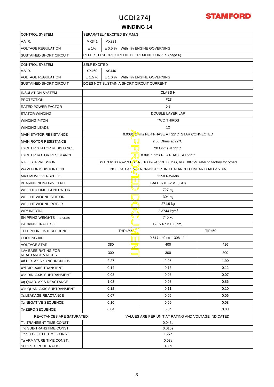

### **WINDING 14**

| <b>CONTROL SYSTEM</b>                                                           | SEPARATELY EXCITED BY P.M.G.                                                         |                                    |                  |                                    |      |                  |  |  |  |
|---------------------------------------------------------------------------------|--------------------------------------------------------------------------------------|------------------------------------|------------------|------------------------------------|------|------------------|--|--|--|
| A.V.R.                                                                          | MX341<br>MX321                                                                       |                                    |                  |                                    |      |                  |  |  |  |
| <b>VOLTAGE REGULATION</b>                                                       | With 4% ENGINE GOVERNING<br>±1%<br>$\pm 0.5 \%$                                      |                                    |                  |                                    |      |                  |  |  |  |
| <b>SUSTAINED SHORT CIRCUIT</b>                                                  | REFER TO SHORT CIRCUIT DECREMENT CURVES (page 6)                                     |                                    |                  |                                    |      |                  |  |  |  |
| <b>CONTROL SYSTEM</b>                                                           | <b>SELF EXCITED</b>                                                                  |                                    |                  |                                    |      |                  |  |  |  |
| A.V.R.                                                                          | SX460                                                                                | AS440                              |                  |                                    |      |                  |  |  |  |
| <b>VOLTAGE REGULATION</b>                                                       | ± 1.5%                                                                               | ± 1.0%<br>With 4% ENGINE GOVERNING |                  |                                    |      |                  |  |  |  |
| <b>SUSTAINED SHORT CIRCUIT</b>                                                  | DOES NOT SUSTAIN A SHORT CIRCUIT CURRENT                                             |                                    |                  |                                    |      |                  |  |  |  |
| <b>INSULATION SYSTEM</b>                                                        |                                                                                      |                                    |                  | <b>CLASS H</b>                     |      |                  |  |  |  |
| <b>PROTECTION</b>                                                               | IP <sub>23</sub>                                                                     |                                    |                  |                                    |      |                  |  |  |  |
| <b>RATED POWER FACTOR</b>                                                       | 0.8                                                                                  |                                    |                  |                                    |      |                  |  |  |  |
| <b>STATOR WINDING</b>                                                           | DOUBLE LAYER LAP                                                                     |                                    |                  |                                    |      |                  |  |  |  |
| <b>WINDING PITCH</b>                                                            | <b>TWO THIRDS</b>                                                                    |                                    |                  |                                    |      |                  |  |  |  |
| <b>WINDING LEADS</b>                                                            | 12                                                                                   |                                    |                  |                                    |      |                  |  |  |  |
| <b>MAIN STATOR RESISTANCE</b>                                                   | 0.0081 Ohms PER PHASE AT 22°C STAR CONNECTED                                         |                                    |                  |                                    |      |                  |  |  |  |
| <b>MAIN ROTOR RESISTANCE</b>                                                    |                                                                                      | 2.08 Ohms at 22°C                  |                  |                                    |      |                  |  |  |  |
| <b>EXCITER STATOR RESISTANCE</b>                                                |                                                                                      | 20 Ohms at 22°C                    |                  |                                    |      |                  |  |  |  |
| <b>EXCITER ROTOR RESISTANCE</b>                                                 |                                                                                      | 0.091 Ohms PER PHASE AT 22°C       |                  |                                    |      |                  |  |  |  |
| <b>R.F.I. SUPPRESSION</b>                                                       | BS EN 61000-6-2 & BS EN 61000-6-4, VDE 0875G, VDE 0875N. refer to factory for others |                                    |                  |                                    |      |                  |  |  |  |
| <b>WAVEFORM DISTORTION</b>                                                      | NO LOAD < 1.5% NON-DISTORTING BALANCED LINEAR LOAD < 5.0%                            |                                    |                  |                                    |      |                  |  |  |  |
| <b>MAXIMUM OVERSPEED</b>                                                        |                                                                                      | 2250 Rev/Min<br>lmr                |                  |                                    |      |                  |  |  |  |
| BEARING NON-DRIVE END                                                           |                                                                                      | U U U<br>BALL. 6310-2RS (ISO)      |                  |                                    |      |                  |  |  |  |
| <b>WEIGHT COMP. GENERATOR</b>                                                   |                                                                                      | 727 kg                             |                  |                                    |      |                  |  |  |  |
| <b>WEIGHT WOUND STATOR</b>                                                      | 304 kg                                                                               |                                    |                  |                                    |      |                  |  |  |  |
| <b>WEIGHT WOUND ROTOR</b>                                                       | 271.9 kg                                                                             |                                    |                  |                                    |      |                  |  |  |  |
| <b>WR<sup>2</sup> INERTIA</b>                                                   | 2.3744 kgm <sup>2</sup>                                                              |                                    |                  |                                    |      |                  |  |  |  |
| SHIPPING WEIGHTS in a crate                                                     |                                                                                      | 740 kg                             |                  |                                    |      |                  |  |  |  |
| PACKING CRATE SIZE                                                              | 123 x 67 x 103(cm)                                                                   |                                    |                  |                                    |      |                  |  |  |  |
| TELEPHONE INTERFERENCE                                                          |                                                                                      |                                    | <b>THF&lt;2%</b> |                                    |      | <b>TIF&lt;50</b> |  |  |  |
| <b>COOLING AIR</b>                                                              |                                                                                      |                                    |                  | 0.617 m <sup>3</sup> /sec 1308 cfm |      |                  |  |  |  |
| <b>VOLTAGE STAR</b>                                                             | 380                                                                                  |                                    |                  | 400                                |      | 416              |  |  |  |
| <b>kVA BASE RATING FOR</b><br><b>REACTANCE VALUES</b>                           | 300                                                                                  |                                    |                  | 300                                |      | 300              |  |  |  |
| Xd DIR. AXIS SYNCHRONOUS                                                        | 2.27                                                                                 |                                    | 2.05             |                                    | 1.90 |                  |  |  |  |
| X'd DIR. AXIS TRANSIENT                                                         |                                                                                      | 0.14                               |                  | 0.13                               |      | 0.12             |  |  |  |
| X"d DIR. AXIS SUBTRANSIENT                                                      |                                                                                      | 0.08                               |                  | 0.08                               |      | 0.07             |  |  |  |
| Xq QUAD. AXIS REACTANCE                                                         |                                                                                      | 1.03                               |                  | 0.93                               |      | 0.86             |  |  |  |
| X"g QUAD. AXIS SUBTRANSIENT                                                     | 0.12                                                                                 |                                    |                  | 0.11                               |      | 0.10             |  |  |  |
| XL LEAKAGE REACTANCE                                                            | 0.07                                                                                 |                                    |                  | 0.06                               |      | 0.06             |  |  |  |
| X <sub>2</sub> NEGATIVE SEQUENCE                                                | 0.10                                                                                 |                                    |                  | 0.09                               |      | 0.08             |  |  |  |
| X <sub>0</sub> ZERO SEQUENCE                                                    | 0.04<br>0.04<br>0.03                                                                 |                                    |                  |                                    |      |                  |  |  |  |
| VALUES ARE PER UNIT AT RATING AND VOLTAGE INDICATED<br>REACTANCES ARE SATURATED |                                                                                      |                                    |                  |                                    |      |                  |  |  |  |
| T'd TRANSIENT TIME CONST.                                                       | 0.045s                                                                               |                                    |                  |                                    |      |                  |  |  |  |
| T"d SUB-TRANSTIME CONST.                                                        | 0.015s                                                                               |                                    |                  |                                    |      |                  |  |  |  |
| T'do O.C. FIELD TIME CONST.                                                     | 1.27s                                                                                |                                    |                  |                                    |      |                  |  |  |  |
| Ta ARMATURE TIME CONST.                                                         | 0.03s                                                                                |                                    |                  |                                    |      |                  |  |  |  |
| <b>SHORT CIRCUIT RATIO</b>                                                      | 1/Xd                                                                                 |                                    |                  |                                    |      |                  |  |  |  |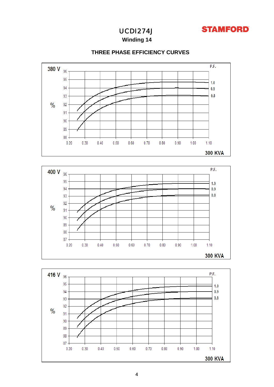

**Winding 14**



### **THREE PHASE EFFICIENCY CURVES**



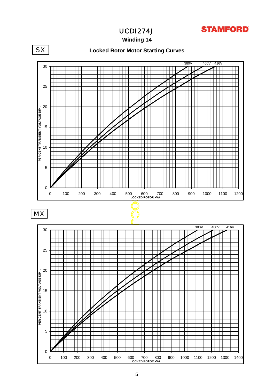### **STAMFORD**

UCDI274J

**Winding 14**

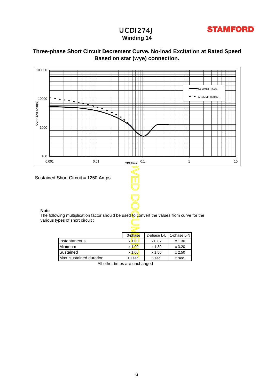

### **Winding 14**

### **Based on star (wye) connection. Three-phase Short Circuit Decrement Curve. No-load Excitation at Rated Speed**



|                         | 3-phase       | 2-phase L-L | 1-phase L-N |
|-------------------------|---------------|-------------|-------------|
| Instantaneous           | $\times$ 1.00 | x 0.87      | $x$ 1.30    |
| <b>Minimum</b>          | $x\,1.00$     | x 1.80      | x3.20       |
| Sustained               | $x$ 1.00      | x 1.50      | x 2.50      |
| Max. sustained duration | $10$ sec.     | 5 sec.      | 2 sec.      |

All other times are unchanged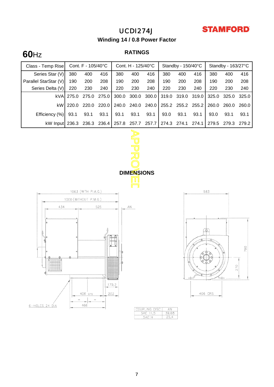## **STAMFORD**

### UCDI274J

**Winding 14 / 0.8 Power Factor**

# **RATINGS 60**Hz

| Class - Temp Rise                                                                                                                                         |       | Cont. F - 105/40°C |       | Cont. H - 125/40°C |       |                                    |                     | Standby - 150/40°C |       | Standby - 163/27°C |       |       |
|-----------------------------------------------------------------------------------------------------------------------------------------------------------|-------|--------------------|-------|--------------------|-------|------------------------------------|---------------------|--------------------|-------|--------------------|-------|-------|
| Series Star (V)                                                                                                                                           | 380   | 400                | 416   | 380                | 400   | 416                                | 380                 | 400                | 416   | 380                | 400   | 416   |
| Parallel StarStar (V)                                                                                                                                     | 190   | 200                | 208   | 190                | 200   | 208                                | 190                 | 200                | 208   | 190                | 200   | 208   |
| Series Delta (V)                                                                                                                                          | 220   | 230                | 240   | 220                | 230   | 240                                | 220                 | 230                | 240   | 220                | 230   | 240   |
| kVA                                                                                                                                                       | 275.0 | 275.0              | 275.0 | 300.0              | 300.0 | 300.0                              | 319.0               | 319.0              | 319.0 | 325.0              | 325.0 | 325.0 |
| kW                                                                                                                                                        | 220.0 | 220.0              | 220.0 | 240.0              | 240.0 | 240.0                              | 255.2               | 255.2              | 255.2 | 260.0              | 260.0 | 260.0 |
| Efficiency (%)                                                                                                                                            | 93.1  | 93.1               | 93.1  | 93.1               | 93.1  | 93.1                               | 93.0                | 93.1               | 93.1  | 93.0               | 93.1  | 93.1  |
| kW Input 236.3                                                                                                                                            |       | 236.3              | 236.4 | 257.8              | 257.7 | 257.7                              | 274.3               | 274.1              | 274.1 | 279.5              | 279.3 | 279.2 |
| <b>DIMENSIONS</b><br>1063 (WITH P.M.G.)<br>583<br>1000 (WITHOUT P.M.G.)<br>434<br>525<br>ΑN<br>⊕<br>790<br>270<br>$\overline{\phantom{a}}$<br>ch<br>179,2 |       |                    |       |                    |       |                                    |                     |                    |       |                    |       |       |
| 6-HOLES 24 DIA                                                                                                                                            |       | $\equiv$<br>466    |       |                    |       | COUPLING DISC<br>SAE 11,5<br>SAE14 | ΑN<br>39,68<br>25,4 |                    |       |                    |       |       |